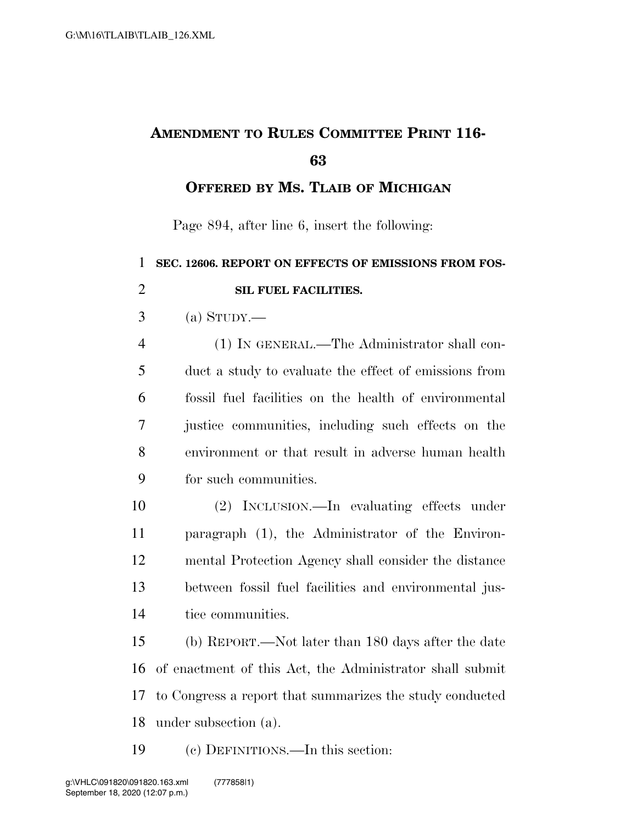## **AMENDMENT TO RULES COMMITTEE PRINT 116-**

**OFFERED BY MS. TLAIB OF MICHIGAN**

Page 894, after line 6, insert the following:

| $\mathbf{1}$   | SEC. 12606. REPORT ON EFFECTS OF EMISSIONS FROM FOS-     |
|----------------|----------------------------------------------------------|
| $\overline{2}$ | SIL FUEL FACILITIES.                                     |
| 3              | (a) $S_{TUDY}$ .                                         |
| $\overline{4}$ | (1) IN GENERAL.—The Administrator shall con-             |
| 5              | duct a study to evaluate the effect of emissions from    |
| 6              | fossil fuel facilities on the health of environmental    |
| 7              | justice communities, including such effects on the       |
| 8              | environment or that result in adverse human health       |
| 9              | for such communities.                                    |
| 10             | (2) INCLUSION.—In evaluating effects under               |
| 11             | paragraph (1), the Administrator of the Environ-         |
| 12             | mental Protection Agency shall consider the distance     |
| 13             | between fossil fuel facilities and environmental jus-    |
| 14             | tice communities.                                        |
| 15             | (b) REPORT.—Not later than 180 days after the date       |
| 16             | of enactment of this Act, the Administrator shall submit |
| 17             | to Congress a report that summarizes the study conducted |
| 18             | under subsection (a).                                    |
|                |                                                          |

(c) DEFINITIONS.—In this section: